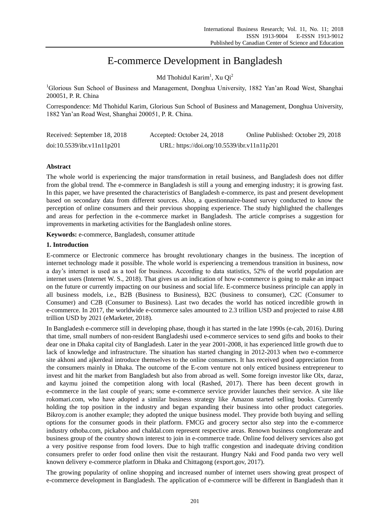# E-commerce Development in Bangladesh

Md Thohidul Karim<sup>1</sup>, Xu Qi<sup>2</sup>

<sup>1</sup>Glorious Sun School of Business and Management, Donghua University, 1882 Yan'an Road West, Shanghai 200051, P. R. China

Correspondence: Md Thohidul Karim, Glorious Sun School of Business and Management, Donghua University, 1882 Yan'an Road West, Shanghai 200051, P. R. China.

| Received: September 18, 2018 | Accepted: October 24, 2018                  | Online Published: October 29, 2018 |
|------------------------------|---------------------------------------------|------------------------------------|
| doi:10.5539/ibr.v11n11p201   | URL: https://doi.org/10.5539/ibr.v11n11p201 |                                    |

# **Abstract**

The whole world is experiencing the major transformation in retail business, and Bangladesh does not differ from the global trend. The e-commerce in Bangladesh is still a young and emerging industry; it is growing fast. In this paper, we have presented the characteristics of Bangladesh e-commerce, its past and present development based on secondary data from different sources. Also, a questionnaire-based survey conducted to know the perception of online consumers and their previous shopping experience. The study highlighted the challenges and areas for perfection in the e-commerce market in Bangladesh. The article comprises a suggestion for improvements in marketing activities for the Bangladesh online stores.

**Keywords:** e-commerce, Bangladesh, consumer attitude

# **1. Introduction**

E-commerce or Electronic commerce has brought revolutionary changes in the business. The inception of internet technology made it possible. The whole world is experiencing a tremendous transition in business, now a day's internet is used as a tool for business. According to data statistics, 52% of the world population are internet users (Internet W. S., 2018). That gives us an indication of how e-commerce is going to make an impact on the future or currently impacting on our business and social life. E-commerce business principle can apply in all business models, i.e., B2B (Business to Business), B2C (business to consumer), C2C (Consumer to Consumer) and C2B (Consumer to Business). Last two decades the world has noticed incredible growth in e-commerce. In 2017, the worldwide e-commerce sales amounted to 2.3 trillion USD and projected to raise 4.88 trillion USD by 2021 (eMarketer, 2018).

In Bangladesh e-commerce still in developing phase, though it has started in the late 1990s (e-cab, 2016). During that time, small numbers of non-resident Bangladeshi used e-commerce services to send gifts and books to their dear one in Dhaka capital city of Bangladesh. Later in the year 2001-2008, it has experienced little growth due to lack of knowledge and infrastructure. The situation has started changing in 2012-2013 when two e-commerce site akhoni and ajkerdeal introduce themselves to the online consumers. It has received good appreciation from the consumers mainly in Dhaka. The outcome of the E-com venture not only enticed business entrepreneur to invest and hit the market from Bangladesh but also from abroad as well. Some foreign investor like Olx, daraz, and kaymu joined the competition along with local (Rashed, 2017). There has been decent growth in e-commerce in the last couple of years; some e-commerce service provider launches their service. A site like rokomari.com, who have adopted a similar business strategy like Amazon started selling books. Currently holding the top position in the industry and began expanding their business into other product categories. Bikroy.com is another example; they adopted the unique business model. They provide both buying and selling options for the consumer goods in their platform. FMCG and grocery sector also step into the e-commerce industry othoba.com, pickaboo and chaldal.com represent respective areas. Renown business conglomerate and business group of the country shown interest to join in e-commerce trade. Online food delivery services also got a very positive response from food lovers. Due to high traffic congestion and inadequate driving condition consumers prefer to order food online then visit the restaurant. Hungry Naki and Food panda two very well known delivery e-commerce platform in Dhaka and Chittagong (export.gov, 2017).

The growing popularity of online shopping and increased number of internet users showing great prospect of e-commerce development in Bangladesh. The application of e-commerce will be different in Bangladesh than it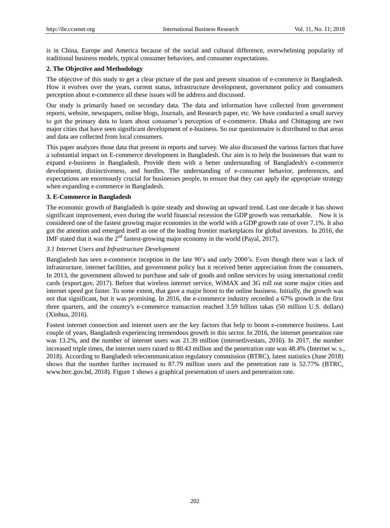is in China, Europe and America because of the social and cultural difference, overwhelming popularity of traditional business models, typical consumer behaviors, and consumer expectations.

## **2. The Objective and Methodology**

The objective of this study to get a clear picture of the past and present situation of e-commerce in Bangladesh. How it evolves over the years, current status, infrastructure development, government policy and consumers perception about e-commerce all these issues will be address and discussed.

Our study is primarily based on secondary data. The data and information have collected from government reports, website, newspapers, online blogs, Journals, and Research paper, etc. We have conducted a small survey to get the primary data to learn about consumer's perception of e-commerce. Dhaka and Chittagong are two major cities that have seen significant development of e-business. So our questionnaire is distributed to that areas and data are collected from local consumers.

This paper analyzes those data that present in reports and survey. We also discussed the various factors that have a substantial impact on E-commerce development in Bangladesh. Our aim is to help the businesses that want to expand e-business in Bangladesh. Provide them with a better understanding of Bangladesh's e-commerce development, distinctiveness, and hurdles. The understanding of e-consumer behavior, preferences, and expectations are enormously crucial for businesses people, to ensure that they can apply the appropriate strategy when expanding e-commerce in Bangladesh.

#### **3. E-Commerce in Bangladesh**

The economic growth of Bangladesh is quite steady and showing an upward trend. Last one decade it has shown significant improvement, even during the world financial recession the GDP growth was remarkable. Now it is considered one of the fastest growing major economies in the world with a GDP growth rate of over 7.1%. It also got the attention and emerged itself as one of the leading frontier marketplaces for global investors. In 2016, the IMF stated that it was the  $2<sup>nd</sup>$  fastest-growing major economy in the world (Payal, 2017).

## *3.1 Internet Users and Infrastructure Development*

Bangladesh has seen e-commerce inception in the late 90's and early 2000's. Even though there was a lack of infrastructure, internet facilities, and government policy but it received better appreciation from the consumers. In 2013, the government allowed to purchase and sale of goods and online services by using international credit cards (export.gov, 2017). Before that wireless internet service, WiMAX and 3G roll out some major cities and internet speed got faster. To some extent, that gave a major boost to the online business. Initially, the growth was not that significant, but it was promising. In 2016, the e-commerce industry recorded a 67% growth in the first three quarters, and the country's e-commerce transaction reached 3.59 billion takas (50 million U.S. dollars) (Xinhua, 2016).

Fastest internet connection and internet users are the key factors that help to boom e-commerce business. Last couple of years, Bangladesh experiencing tremendous growth in this sector. In 2016, the internet penetration rate was 13.2%, and the number of internet users was 21.39 million (internetlivestats, 2016). In 2017, the number increased triple times, the internet users raised to 80.43 million and the penetration rate was 48.4% (Internet w. s., 2018). According to Bangladesh telecommunication regulatory commission (BTRC), latest statistics (June 2018) shows that the number further increased to 87.79 million users and the penetration rate is 52.77% (BTRC, www.btrc.gov.bd, 2018). Figure 1 shows a graphical presentation of users and penetration rate.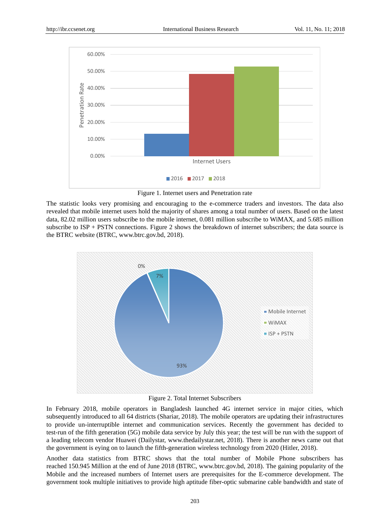

Figure 1. Internet users and Penetration rate

The statistic looks very promising and encouraging to the e-commerce traders and investors. The data also revealed that mobile internet users hold the majority of shares among a total number of users. Based on the latest data, 82.02 million users subscribe to the mobile internet, 0.081 million subscribe to WiMAX, and 5.685 million subscribe to ISP + PSTN connections. Figure 2 shows the breakdown of internet subscribers; the data source is the BTRC website (BTRC, www.btrc.gov.bd, 2018).



Figure 2. Total Internet Subscribers

In February 2018, mobile operators in Bangladesh launched 4G internet service in major cities, which subsequently introduced to all 64 districts (Shariar, 2018). The mobile operators are updating their infrastructures to provide un-interruptible internet and communication services. Recently the government has decided to test-run of the fifth generation (5G) mobile data service by July this year; the test will be run with the support of a leading telecom vendor Huawei (Dailystar, www.thedailystar.net, 2018). There is another news came out that the government is eying on to launch the fifth-generation wireless technology from 2020 (Hitler, 2018).

Another data statistics from BTRC shows that the total number of Mobile Phone subscribers has reached 150.945 Million at the end of June 2018 (BTRC, www.btrc.gov.bd, 2018). The gaining popularity of the Mobile and the increased numbers of Internet users are prerequisites for the E-commerce development. The government took multiple initiatives to provide high aptitude fiber-optic submarine cable bandwidth and state of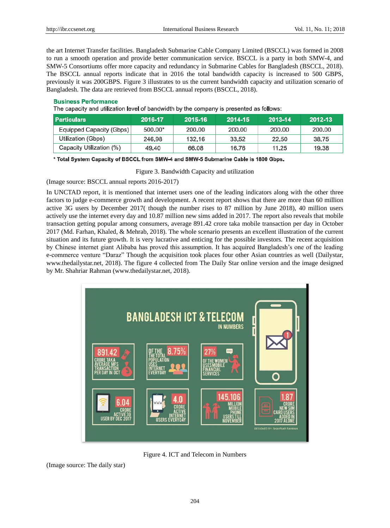the art Internet Transfer facilities. Bangladesh Submarine Cable Company Limited (BSCCL) was formed in 2008 to run a smooth operation and provide better communication service. BSCCL is a party in both SMW-4, and SMW-5 Consortiums offer more capacity and redundancy in Submarine Cables for Bangladesh (BSCCL, 2018). The BSCCL annual reports indicate that in 2016 the total bandwidth capacity is increased to 500 GBPS, previously it was 200GBPS. Figure 3 illustrates to us the current bandwidth capacity and utilization scenario of Bangladesh. The data are retrieved from BSCCL annual reports (BSCCL, 2018).

#### **Business Performance**

The capacity and utilization level of bandwidth by the company is presented as follows:

| <b>Particulars</b>       | 2016-17 | 2015-16 | 2014-15 | 2013-14 | 2012-13 |
|--------------------------|---------|---------|---------|---------|---------|
| Equipped Capacity (Gbps) | 500.00* | 200.00  | 200.00  | 200.00  | 200.00  |
| Utilization (Gbps)       | 246.98  | 132.16  | 33.52   | 22.50   | 38.75   |
| Capacity Utilization (%) | 49.40   | 66.08   | 16.76   | 11.25   | 19.38   |

\* Total System Capacity of BSCCL from SMW-4 and SMW-5 Submarine Cable is 1800 Gbps.

Figure 3. Bandwidth Capacity and utilization

(Image source: BSCCL annual reports 2016-2017)

In UNCTAD report, it is mentioned that internet users one of the leading indicators along with the other three factors to judge e-commerce growth and development. A recent report shows that there are more than 60 million active 3G users by December 2017( though the number rises to 87 million by June 2018), 40 million users actively use the internet every day and 10.87 million new sims added in 2017. The report also reveals that mobile transaction getting popular among consumers, average 891.42 crore taka mobile transaction per day in October 2017 (Md. Farhan, Khaled, & Mehrab, 2018). The whole scenario presents an excellent illustration of the current situation and its future growth. It is very lucrative and enticing for the possible investors. The recent acquisition by Chinese internet giant Alibaba has proved this assumption. It has acquired Bangladesh's one of the leading e-commerce venture "Daraz" Though the acquisition took places four other Asian countries as well (Dailystar, www.thedailystar.net, 2018). The figure 4 collected from The Daily Star online version and the image designed by Mr. Shahriar Rahman (www.thedailystar.net, 2018).



Figure 4. ICT and Telecom in Numbers

(Image source: The daily star)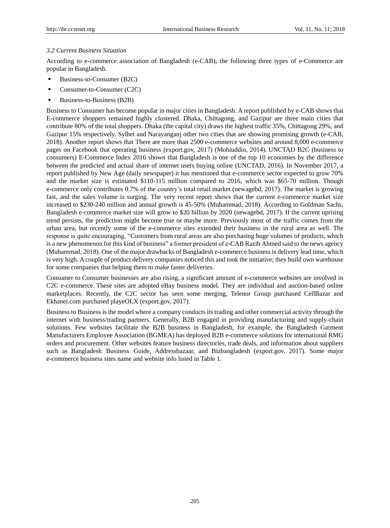#### *3.2 Current Business Situation*

According to e-commerce association of Bangladesh (e-CAB), the following three types of e-Commerce are popular in Bangladesh.

- Business-to-Consumer (B2C)
- Consumer-to-Consumer (C2C)
- Business-to-Business (B2B)

Business to Consumer has become popular in major cities in Bangladesh. A report published by e-CAB shows that E-commerce shoppers remained highly clustered. Dhaka, Chittagong, and Gazipur are three main cities that contribute 80% of the total shoppers. Dhaka (the capital city) draws the highest traffic 35%, Chittagong 29%, and Gazipur 15% respectively. Sylhet and Narayanganj other two cities that are showing promising growth (e-CAB, 2018). Another report shows that There are more than 2500 e-commerce websites and around 8,000 e-commerce pages on Facebook that operating business (export.gov, 2017) (Mohiuddin, 2014). UNCTAD B2C (business to consumers) E-Commerce Index 2016 shown that Bangladesh is one of the top 10 economies by the difference between the predicted and actual share of internet users buying online (UNCTAD, 2016). In November 2017, a report published by New Age (daily newspaper) it has mentioned that e-commerce sector expected to grow 70% and the market size is estimated \$110-115 million compared to 2016, which was \$65-70 million. Though e-commerce only contributes 0.7% of the country's total retail market (newagebd, 2017). The market is growing fast, and the sales volume is surging. The very recent report shows that the current e-commerce market size increased to \$230-240 million and annual growth is 45-50% (Muhammad, 2018). According to Goldman Sachs, Bangladesh e-commerce market size will grow to \$20 billion by 2020 (newagebd, 2017). If the current uprising trend persists, the prediction might become true or maybe more. Previously most of the traffic comes from the urban area, but recently some of the e-commerce sites extended their business in the rural area as well. The response is quite encouraging, "Customers from rural areas are also purchasing huge volumes of products, which is a new phenomenon for this kind of business" a former president of e-CAB Razib Ahmed said to the news agency (Muhammad, 2018). One of the major drawbacks of Bangladesh e-commerce business is delivery lead time, which is very high. A couple of product delivery companies noticed this and took the initiative; they build own warehouse for some companies that helping them to make faster deliveries.

Consumer to Consumer businesses are also rising, a significant amount of e-commerce websites are involved in C2C e-commerce. These sites are adopted eBay business model. They are individual and auction-based online marketplaces. Recently, the C2C sector has seen some merging, Telenor Group purchased CellBazar and Ekhanei.com purchased playeOLX (export.gov, 2017).

Business to Business is the model where a company conducts its trading and other commercial activity through the internet with business/trading partners. Generally, B2B engaged in providing manufacturing and supply-chain solutions. Few websites facilitate the B2B business in Bangladesh, for example, the Bangladesh Garment Manufacturers Employee Association (BGMEA) has deployed B2B e-commerce solutions for international RMG orders and procurement. Other websites feature business directories, trade deals, and information about suppliers such as Bangladesh Business Guide, Addressbazaar, and Bizbangladesh (export.gov, 2017). Some major e-commerce business sites name and website info listed in Table 1.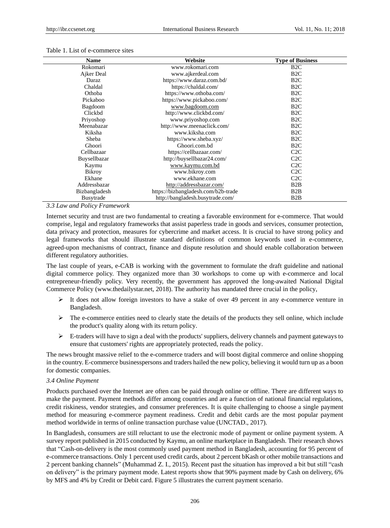#### Table 1. List of e-commerce sites

| <b>Name</b>          | Website                             | <b>Type of Business</b> |
|----------------------|-------------------------------------|-------------------------|
| Rokomari             | www.rokomari.com                    | B <sub>2</sub> C        |
| Ajker Deal           | www.ajkerdeal.com                   | B <sub>2</sub> C        |
| Daraz                | https://www.daraz.com.bd/           | B2C                     |
| Chaldal              | https://chaldal.com/                | B <sub>2</sub> C        |
| Othoba               | https://www.othoba.com/             | B2C                     |
| Pickaboo             | https://www.pickaboo.com/           | B2C                     |
| Bagdoom              | www.bagdoom.com                     | B2C                     |
| Clickbd              | http://www.clickbd.com/             | B <sub>2</sub> C        |
| Priyoshop            | www.priyoshop.com                   | B2C                     |
| Meenabazar           | http://www.meenaclick.com/          | B <sub>2</sub> C        |
| Kiksha               | www.kiksha.com                      | B <sub>2</sub> C        |
| Sheba                | https://www.sheba.xyz/              | B2C                     |
| Ghoori               | Ghoori.com.bd                       | B2C                     |
| Cellbazaar           | https://cellbazaar.com/             | C2C                     |
| Buysellbazar         | http://buysellbazar24.com/          | C2C                     |
| Kaymu                | www.kaymu.com.bd                    | C2C                     |
| <b>Bikroy</b>        | www.bikroy.com                      | C2C                     |
| Ekhane               | www.ekhane.com                      | C2C                     |
| Addressbazar         | http://addressbazar.com/            | B2B                     |
| <b>Bizbangladesh</b> | https://bizbangladesh.com/b2b-trade | B <sub>2</sub> B        |
| <b>Busytrade</b>     | http://bangladesh.busytrade.com/    | B <sub>2</sub> B        |

*3.3 Law and Policy Framework*

Internet security and trust are two fundamental to creating a favorable environment for e-commerce. That would comprise, legal and regulatory frameworks that assist paperless trade in goods and services, consumer protection, data privacy and protection, measures for cybercrime and market access. It is crucial to have strong policy and legal frameworks that should illustrate standard definitions of common keywords used in e-commerce, agreed-upon mechanisms of contract, finance and dispute resolution and should enable collaboration between different regulatory authorities.

The last couple of years, e-CAB is working with the government to formulate the draft guideline and national digital commerce policy. They organized more than 30 workshops to come up with e-commerce and local entrepreneur-friendly policy. Very recently, the government has approved the long-awaited National Digital Commerce Policy (www.thedailystar.net, 2018). The authority has mandated three crucial in the policy,

- $\triangleright$  It does not allow foreign investors to have a stake of over 49 percent in any e-commerce venture in Bangladesh.
- $\triangleright$  The e-commerce entities need to clearly state the details of the products they sell online, which include the product's quality along with its return policy.
- $\triangleright$  E-traders will have to sign a deal with the products' suppliers, delivery channels and payment gateways to ensure that customers' rights are appropriately protected, reads the policy.

The news brought massive relief to the e-commerce traders and will boost digital commerce and online shopping in the country. E-commerce businesspersons and traders hailed the new policy, believing it would turn up as a boon for domestic companies.

#### *3.4 Online Payment*

Products purchased over the Internet are often can be paid through online or offline. There are different ways to make the payment. Payment methods differ among countries and are a function of national financial regulations, credit riskiness, vendor strategies, and consumer preferences. It is quite challenging to choose a single payment method for measuring e-commerce payment readiness. Credit and debit cards are the most popular payment method worldwide in terms of online transaction purchase value (UNCTAD., 2017).

In Bangladesh, consumers are still reluctant to use the electronic mode of payment or online payment system. A survey report published in 2015 conducted by Kaymu, an online marketplace in Bangladesh. Their research shows that "Cash-on-delivery is the most commonly used payment method in Bangladesh, accounting for 95 percent of e-commerce transactions. Only 1 percent used credit cards, about 2 percent bKash or other mobile transactions and 2 percent banking channels" (Muhammad Z. I., 2015). Recent past the situation has improved a bit but still "cash on delivery" is the primary payment mode. Latest reports show that 90% payment made by Cash on delivery, 6% by MFS and 4% by Credit or Debit card. Figure 5 illustrates the current payment scenario.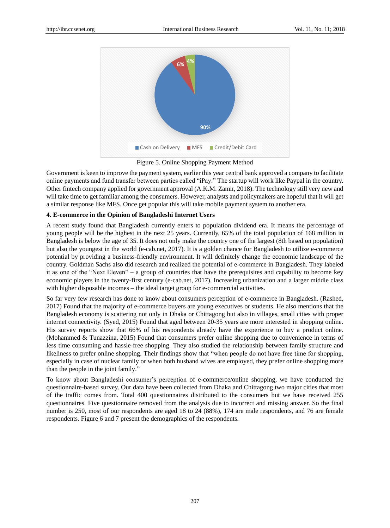

Figure 5. Online Shopping Payment Method

Government is keen to improve the payment system, earlier this year central bank approved a company to facilitate online payments and fund transfer between parties called "iPay." The startup will work like Paypal in the country. Other fintech company applied for government approval (A.K.M. Zamir, 2018). The technology still very new and will take time to get familiar among the consumers. However, analysts and policymakers are hopeful that it will get a similar response like MFS. Once get popular this will take mobile payment system to another era.

# **4. E-commerce in the Opinion of Bangladeshi Internet Users**

A recent study found that Bangladesh currently enters to population dividend era. It means the percentage of young people will be the highest in the next 25 years. Currently, 65% of the total population of 168 million in Bangladesh is below the age of 35. It does not only make the country one of the largest (8th based on population) but also the youngest in the world (e-cab.net, 2017). It is a golden chance for Bangladesh to utilize e-commerce potential by providing a business-friendly environment. It will definitely change the economic landscape of the country. Goldman Sachs also did research and realized the potential of e-commerce in Bangladesh. They labeled it as one of the "Next Eleven" – a group of countries that have the prerequisites and capability to become key economic players in the twenty-first century (e-cab.net, 2017). Increasing urbanization and a larger middle class with higher disposable incomes – the ideal target group for e-commercial activities.

So far very few research has done to know about consumers perception of e-commerce in Bangladesh. (Rashed, 2017) Found that the majority of e-commerce buyers are young executives or students. He also mentions that the Bangladesh economy is scattering not only in Dhaka or Chittagong but also in villages, small cities with proper internet connectivity. (Syed, 2015) Found that aged between 20-35 years are more interested in shopping online. His survey reports show that 66% of his respondents already have the experience to buy a product online. (Mohammed & Tunazzina, 2015) Found that consumers prefer online shopping due to convenience in terms of less time consuming and hassle-free shopping. They also studied the relationship between family structure and likeliness to prefer online shopping. Their findings show that "when people do not have free time for shopping, especially in case of nuclear family or when both husband wives are employed, they prefer online shopping more than the people in the joint family."

To know about Bangladeshi consumer's perception of e-commerce/online shopping, we have conducted the questionnaire-based survey. Our data have been collected from Dhaka and Chittagong two major cities that most of the traffic comes from. Total 400 questionnaires distributed to the consumers but we have received 255 questionnaires. Five questionnaire removed from the analysis due to incorrect and missing answer. So the final number is 250, most of our respondents are aged 18 to 24 (88%), 174 are male respondents, and 76 are female respondents. Figure 6 and 7 present the demographics of the respondents.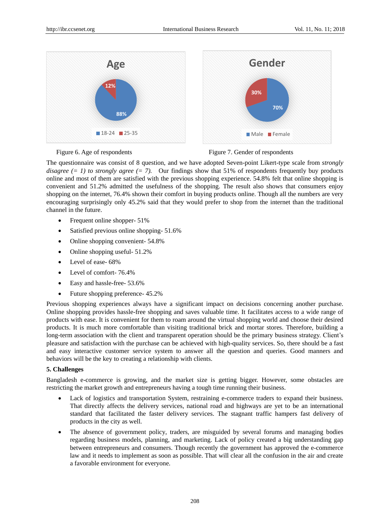

Figure 6. Age of respondents Figure 7. Gender of respondents

The questionnaire was consist of 8 question, and we have adopted Seven-point Likert-type scale from *strongly disagree (= 1) to strongly agree (= 7).* Our findings show that 51% of respondents frequently buy products online and most of them are satisfied with the previous shopping experience. 54.8% felt that online shopping is convenient and 51.2% admitted the usefulness of the shopping. The result also shows that consumers enjoy shopping on the internet, 76.4% shown their comfort in buying products online. Though all the numbers are very encouraging surprisingly only 45.2% said that they would prefer to shop from the internet than the traditional channel in the future.

- Frequent online shopper- 51%
- Satisfied previous online shopping- 51.6%
- Online shopping convenient- 54.8%
- Online shopping useful- 51.2%
- Level of ease- 68%
- Level of comfort- 76.4%
- Easy and hassle-free- 53.6%
- Future shopping preference- 45.2%

Previous shopping experiences always have a significant impact on decisions concerning another purchase. Online shopping provides hassle-free shopping and saves valuable time. It facilitates access to a wide range of products with ease. It is convenient for them to roam around the virtual shopping world and choose their desired products. It is much more comfortable than visiting traditional brick and mortar stores. Therefore, building a long-term association with the client and transparent operation should be the primary business strategy. Client's pleasure and satisfaction with the purchase can be achieved with high-quality services. So, there should be a fast and easy interactive customer service system to answer all the question and queries. Good manners and behaviors will be the key to creating a relationship with clients.

# **5. Challenges**

Bangladesh e-commerce is growing, and the market size is getting bigger. However, some obstacles are restricting the market growth and entrepreneurs having a tough time running their business.

- Lack of logistics and transportation System, restraining e-commerce traders to expand their business. That directly affects the delivery services, national road and highways are yet to be an international standard that facilitated the faster delivery services. The stagnant traffic hampers fast delivery of products in the city as well.
- The absence of government policy, traders, are misguided by several forums and managing bodies regarding business models, planning, and marketing. Lack of policy created a big understanding gap between entrepreneurs and consumers. Though recently the government has approved the e-commerce law and it needs to implement as soon as possible. That will clear all the confusion in the air and create a favorable environment for everyone.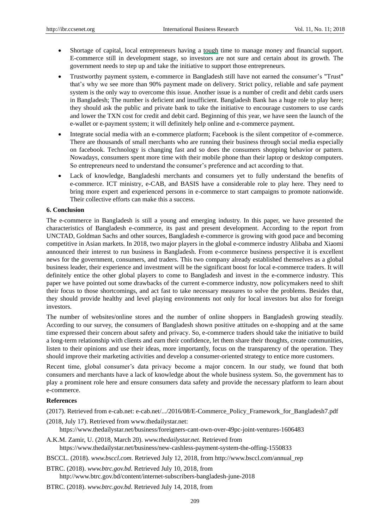- Shortage of capital, local entrepreneurs having a tough time to manage money and financial support. E-commerce still in development stage, so investors are not sure and certain about its growth. The government needs to step up and take the initiative to support those entrepreneurs.
- Trustworthy payment system, e-commerce in Bangladesh still have not earned the consumer's "Trust" that's why we see more than 90% payment made on delivery. Strict policy, reliable and safe payment system is the only way to overcome this issue. Another issue is a number of credit and debit cards users in Bangladesh; The number is deficient and insufficient. Bangladesh Bank has a huge role to play here; they should ask the public and private bank to take the initiative to encourage customers to use cards and lower the TXN cost for credit and debit card. Beginning of this year, we have seen the launch of the e-wallet or e-payment system; it will definitely help online and e-commerce payment.
- Integrate social media with an e-commerce platform; Facebook is the silent competitor of e-commerce. There are thousands of small merchants who are running their business through social media especially on facebook. Technology is changing fast and so does the consumers shopping behavior or pattern. Nowadays, consumers spent more time with their mobile phone than their laptop or desktop computers. So entrepreneurs need to understand the consumer's preference and act according to that.
- Lack of knowledge, Bangladeshi merchants and consumers yet to fully understand the benefits of e-commerce. ICT ministry, e-CAB, and BASIS have a considerable role to play here. They need to bring more expert and experienced persons in e-commerce to start campaigns to promote nationwide. Their collective efforts can make this a success.

#### **6. Conclusion**

The e-commerce in Bangladesh is still a young and emerging industry. In this paper, we have presented the characteristics of Bangladesh e-commerce, its past and present development. According to the report from UNCTAD, Goldman Sachs and other sources, Bangladesh e-commerce is growing with good pace and becoming competitive in Asian markets. In 2018, two major players in the global e-commerce industry Alibaba and Xiaomi announced their interest to run business in Bangladesh. From e-commerce business perspective it is excellent news for the government, consumers, and traders. This two company already established themselves as a global business leader, their experience and investment will be the significant boost for local e-commerce traders. It will definitely entice the other global players to come to Bangladesh and invest in the e-commerce industry. This paper we have pointed out some drawbacks of the current e-commerce industry, now policymakers need to shift their focus to those shortcomings, and act fast to take necessary measures to solve the problems. Besides that, they should provide healthy and level playing environments not only for local investors but also for foreign investors.

The number of websites/online stores and the number of online shoppers in Bangladesh growing steadily. According to our survey, the consumers of Bangladesh shown positive attitudes on e-shopping and at the same time expressed their concern about safety and privacy. So, e-commerce traders should take the initiative to build a long-term relationship with clients and earn their confidence, let them share their thoughts, create communities, listen to their opinions and use their ideas, more importantly, focus on the transparency of the operation. They should improve their marketing activities and develop a consumer-oriented strategy to entice more customers.

Recent time, global consumer's data privacy become a major concern. In our study, we found that both consumers and merchants have a lack of knowledge about the whole business system. So, the government has to play a prominent role here and ensure consumers data safety and provide the necessary platform to learn about e-commerce.

## **References**

(2017). Retrieved from e-cab.net: e-cab.net/.../2016/08/E-Commerce\_Policy\_Framework\_for\_Bangladesh7.pdf

- (2018, July 17). Retrieved from www.thedailystar.net: https://www.thedailystar.net/business/foreigners-cant-own-over-49pc-joint-ventures-1606483
- A.K.M. Zamir, U. (2018, March 20). *www.thedailystar.net.* Retrieved from https://www.thedailystar.net/business/new-cashless-payment-system-the-offing-1550833
- BSCCL. (2018). *www.bsccl.com*. Retrieved July 12, 2018, from http://www.bsccl.com/annual\_rep
- BTRC. (2018). *www.btrc.gov.bd*. Retrieved July 10, 2018, from

http://www.btrc.gov.bd/content/internet-subscribers-bangladesh-june-2018

BTRC. (2018). *www.btrc.gov.bd*. Retrieved July 14, 2018, from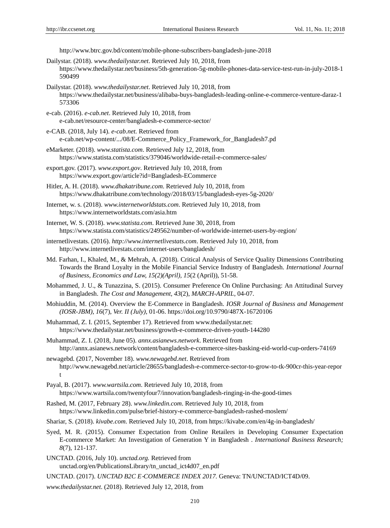http://www.btrc.gov.bd/content/mobile-phone-subscribers-bangladesh-june-2018

- Dailystar. (2018). *www.thedailystar.net*. Retrieved July 10, 2018, from https://www.thedailystar.net/business/5th-generation-5g-mobile-phones-data-service-test-run-in-july-2018-1 590499
- Dailystar. (2018). *www.thedailystar.net*. Retrieved July 10, 2018, from https://www.thedailystar.net/business/alibaba-buys-bangladesh-leading-online-e-commerce-venture-daraz-1 573306
- e-cab. (2016). *e-cab.net*. Retrieved July 10, 2018, from e-cab.net/resource-center/bangladesh-e-commerce-sector/
- e-CAB. (2018, July 14). *e-cab.net.* Retrieved from e-cab.net/wp-content/.../08/E-Commerce\_Policy\_Framework\_for\_Bangladesh7.pd
- eMarketer. (2018). *www.statista.com*. Retrieved July 12, 2018, from https://www.statista.com/statistics/379046/worldwide-retail-e-commerce-sales/
- export.gov. (2017). *www.export.gov*. Retrieved July 10, 2018, from https://www.export.gov/article?id=Bangladesh-ECommerce
- Hitler, A. H. (2018). *www.dhakatribune.com*. Retrieved July 10, 2018, from https://www.dhakatribune.com/technology/2018/03/15/bangladesh-eyes-5g-2020/
- Internet, w. s. (2018). *www.internetworldstats.com*. Retrieved July 10, 2018, from https://www.internetworldstats.com/asia.htm
- Internet, W. S. (2018). *www.statista.com*. Retrieved June 30, 2018, from https://www.statista.com/statistics/249562/number-of-worldwide-internet-users-by-region/
- internetlivestats. (2016). *http://www.internetlivestats.com*. Retrieved July 10, 2018, from http://www.internetlivestats.com/internet-users/bangladesh/
- Md. Farhan, I., Khaled, M., & Mehrab, A. (2018). Critical Analysis of Service Quality Dimensions Contributing Towards the Brand Loyalty in the Mobile Financial Service Industry of Bangladesh. *International Journal of Business, Economics and Law, 15(2)(April), 15*(2 (April)), 51-58.
- Mohammed, J. U., & Tunazzina, S. (2015). Consumer Preference On Online Purchasing: An Attitudinal Survey in Bangladesh. *The Cost and Management, 43*(2), *MARCH-APRIL*, 04-07.
- Mohiuddin, M. (2014). Overview the E-Commerce in Bangladesh. *IOSR Journal of Business and Management (IOSR-JBM), 16*(7), *Ver. II (July)*, 01-06. https://doi.org/10.9790/487X-16720106
- Muhammad, Z. I. (2015, September 17). Retrieved from www.thedailystar.net: https://www.thedailystar.net/business/growth-e-commerce-driven-youth-144280
- Muhammad, Z. I. (2018, June 05). *annx.asianews.network*. Retrieved from http://annx.asianews.network/content/bangladesh-e-commerce-sites-basking-eid-world-cup-orders-74169
- newagebd. (2017, November 18). *www.newagebd.net*. Retrieved from http://www.newagebd.net/article/28655/bangladesh-e-commerce-sector-to-grow-to-tk-900cr-this-year-repor t
- Payal, B. (2017). *www.wartsila.com*. Retrieved July 10, 2018, from https://www.wartsila.com/twentyfour7/innovation/bangladesh-ringing-in-the-good-times
- Rashed, M. (2017, February 28). *www.linkedin.com*. Retrieved July 10, 2018, from https://www.linkedin.com/pulse/brief-history-e-commerce-bangladesh-rashed-moslem/
- Shariar, S. (2018). *kivabe.com*. Retrieved July 10, 2018, from https://kivabe.com/en/4g-in-bangladesh/
- Syed, M. R. (2015). Consumer Expectation from Online Retailers in Developing Consumer Expectation E-commerce Market: An Investigation of Generation Y in Bangladesh . *International Business Research; 8*(7), 121-137.
- UNCTAD. (2016, July 10). *unctad.org.* Retrieved from unctad.org/en/PublicationsLibrary/tn\_unctad\_ict4d07\_en.pdf

UNCTAD. (2017). *UNCTAD B2C E*‐*COMMERCE INDEX 2017.* Geneva: TN/UNCTAD/ICT4D/09.

*www.thedailystar.net*. (2018). Retrieved July 12, 2018, from